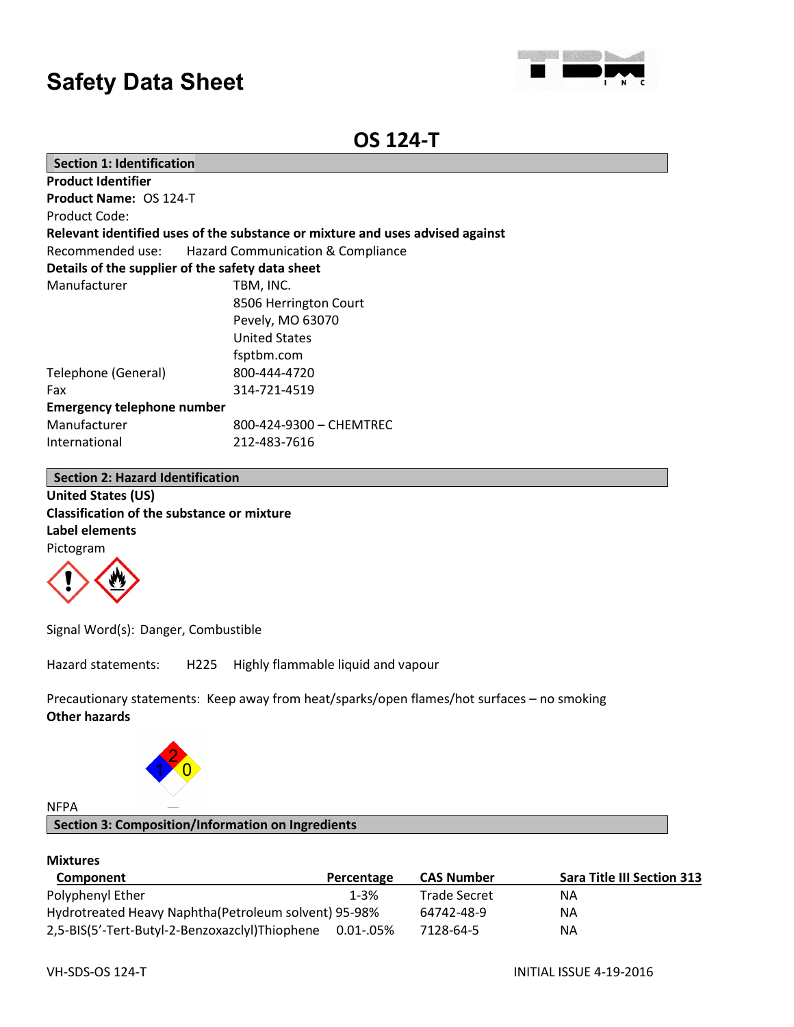

# **OS 124-T**

| <b>Section 1: Identification</b>                 |                                                                               |  |
|--------------------------------------------------|-------------------------------------------------------------------------------|--|
| <b>Product Identifier</b>                        |                                                                               |  |
| <b>Product Name: OS 124-T</b>                    |                                                                               |  |
| Product Code:                                    |                                                                               |  |
|                                                  | Relevant identified uses of the substance or mixture and uses advised against |  |
|                                                  | Recommended use: Hazard Communication & Compliance                            |  |
| Details of the supplier of the safety data sheet |                                                                               |  |
| Manufacturer                                     | TBM, INC.                                                                     |  |
|                                                  | 8506 Herrington Court                                                         |  |
|                                                  | Pevely, MO 63070                                                              |  |
|                                                  | <b>United States</b>                                                          |  |
|                                                  | fsptbm.com                                                                    |  |
| Telephone (General)                              | 800-444-4720                                                                  |  |
| Fax                                              | 314-721-4519                                                                  |  |
| <b>Emergency telephone number</b>                |                                                                               |  |
| Manufacturer                                     | 800-424-9300 - CHEMTREC                                                       |  |
| International                                    | 212-483-7616                                                                  |  |

# **Section 2: Hazard Identification**

**United States (US) Classification of the substance or mixture Label elements** Pictogram



Signal Word(s): Danger, Combustible

Hazard statements: H225 Highly flammable liquid and vapour

Precautionary statements: Keep away from heat/sparks/open flames/hot surfaces – no smoking **Other hazards**



# NFPA

**Section 3: Composition/Information on Ingredients**

## **Mixtures**

| Component                                                | Percentage | <b>CAS Number</b>   | <b>Sara Title III Section 313</b> |
|----------------------------------------------------------|------------|---------------------|-----------------------------------|
| Polyphenyl Ether                                         | 1-3%       | <b>Trade Secret</b> | ΝA                                |
| Hydrotreated Heavy Naphtha (Petroleum solvent) 95-98%    |            | 64742-48-9          | ΝA                                |
| 2,5-BIS(5'-Tert-Butyl-2-Benzoxazclyl)Thiophene 0.01-.05% |            | 7128-64-5           | ΝA                                |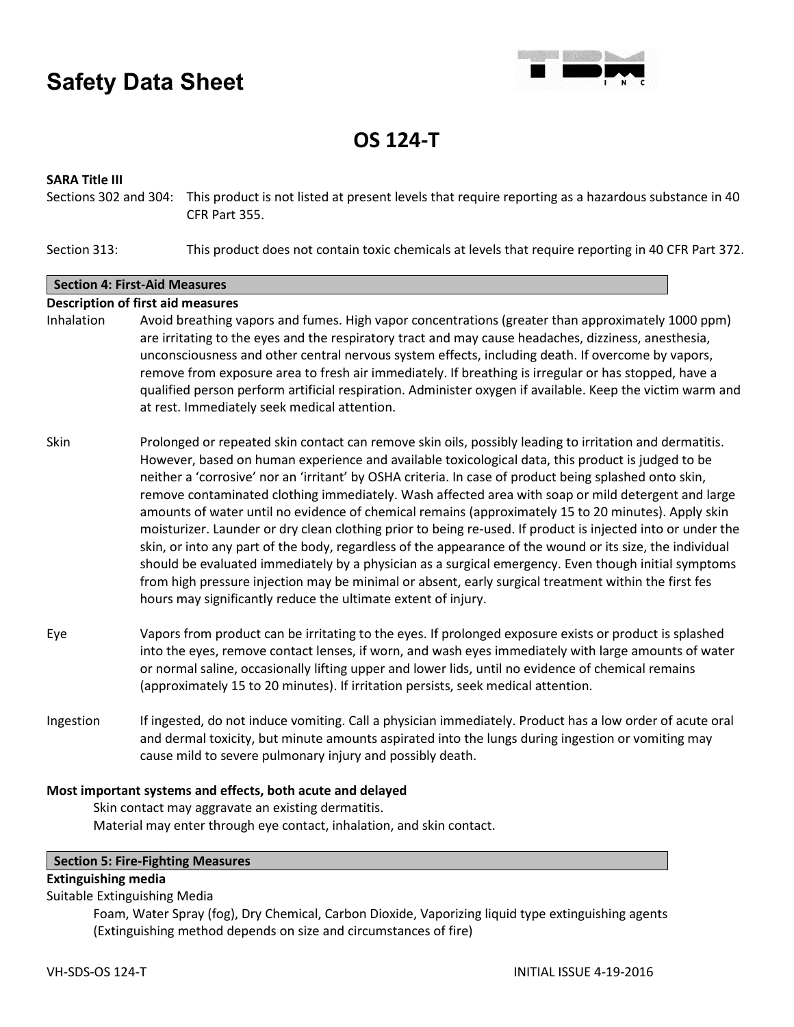

**OS 124-T**

# **SARA Title III**

Sections 302 and 304: This product is not listed at present levels that require reporting as a hazardous substance in 40 CFR Part 355.

Section 313: This product does not contain toxic chemicals at levels that require reporting in 40 CFR Part 372.

## **Section 4: First-Aid Measures**

## **Description of first aid measures**

- Inhalation Avoid breathing vapors and fumes. High vapor concentrations (greater than approximately 1000 ppm) are irritating to the eyes and the respiratory tract and may cause headaches, dizziness, anesthesia, unconsciousness and other central nervous system effects, including death. If overcome by vapors, remove from exposure area to fresh air immediately. If breathing is irregular or has stopped, have a qualified person perform artificial respiration. Administer oxygen if available. Keep the victim warm and at rest. Immediately seek medical attention.
- Skin Prolonged or repeated skin contact can remove skin oils, possibly leading to irritation and dermatitis. However, based on human experience and available toxicological data, this product is judged to be neither a 'corrosive' nor an 'irritant' by OSHA criteria. In case of product being splashed onto skin, remove contaminated clothing immediately. Wash affected area with soap or mild detergent and large amounts of water until no evidence of chemical remains (approximately 15 to 20 minutes). Apply skin moisturizer. Launder or dry clean clothing prior to being re-used. If product is injected into or under the skin, or into any part of the body, regardless of the appearance of the wound or its size, the individual should be evaluated immediately by a physician as a surgical emergency. Even though initial symptoms from high pressure injection may be minimal or absent, early surgical treatment within the first fes hours may significantly reduce the ultimate extent of injury.
- Eye Vapors from product can be irritating to the eyes. If prolonged exposure exists or product is splashed into the eyes, remove contact lenses, if worn, and wash eyes immediately with large amounts of water or normal saline, occasionally lifting upper and lower lids, until no evidence of chemical remains (approximately 15 to 20 minutes). If irritation persists, seek medical attention.
- Ingestion If ingested, do not induce vomiting. Call a physician immediately. Product has a low order of acute oral and dermal toxicity, but minute amounts aspirated into the lungs during ingestion or vomiting may cause mild to severe pulmonary injury and possibly death.

# **Most important systems and effects, both acute and delayed**

Skin contact may aggravate an existing dermatitis. Material may enter through eye contact, inhalation, and skin contact.

#### **Section 5: Fire-Fighting Measures**

# **Extinguishing media**

Suitable Extinguishing Media

Foam, Water Spray (fog), Dry Chemical, Carbon Dioxide, Vaporizing liquid type extinguishing agents (Extinguishing method depends on size and circumstances of fire)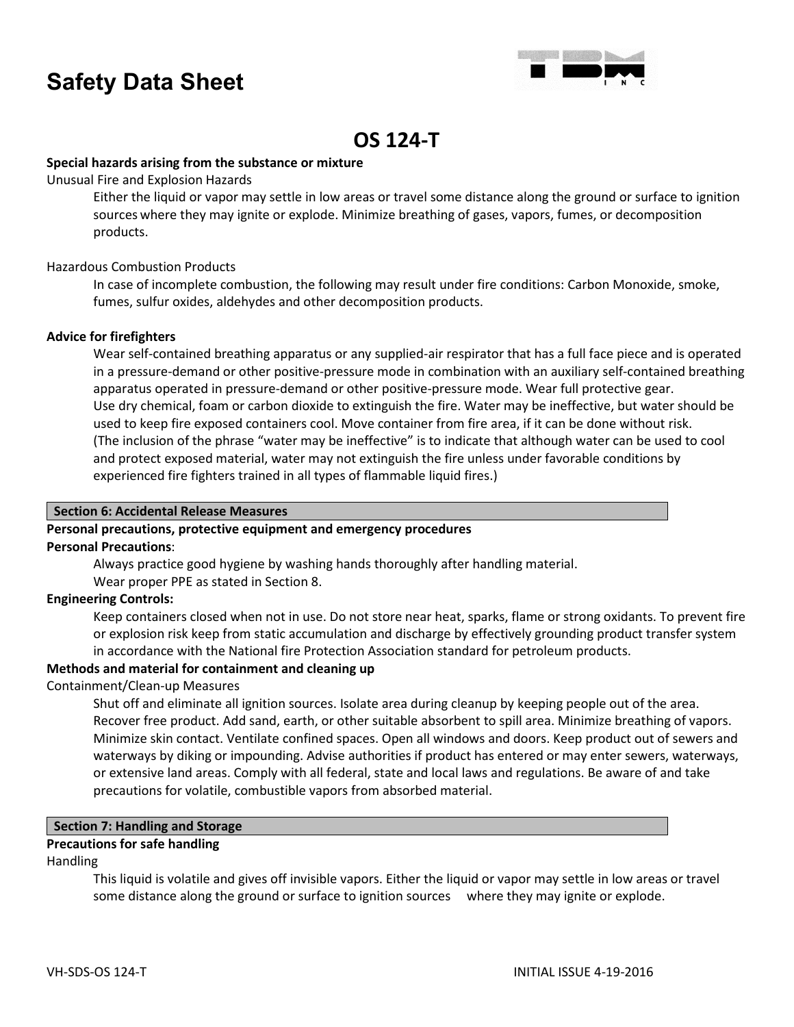

# **OS 124-T**

# **Special hazards arising from the substance or mixture**

Unusual Fire and Explosion Hazards

Either the liquid or vapor may settle in low areas or travel some distance along the ground or surface to ignition sources where they may ignite or explode. Minimize breathing of gases, vapors, fumes, or decomposition products.

# Hazardous Combustion Products

In case of incomplete combustion, the following may result under fire conditions: Carbon Monoxide, smoke, fumes, sulfur oxides, aldehydes and other decomposition products.

# **Advice for firefighters**

Wear self-contained breathing apparatus or any supplied-air respirator that has a full face piece and is operated in a pressure-demand or other positive-pressure mode in combination with an auxiliary self-contained breathing apparatus operated in pressure-demand or other positive-pressure mode. Wear full protective gear. Use dry chemical, foam or carbon dioxide to extinguish the fire. Water may be ineffective, but water should be used to keep fire exposed containers cool. Move container from fire area, if it can be done without risk. (The inclusion of the phrase "water may be ineffective" is to indicate that although water can be used to cool and protect exposed material, water may not extinguish the fire unless under favorable conditions by experienced fire fighters trained in all types of flammable liquid fires.)

# **Section 6: Accidental Release Measures**

# **Personal precautions, protective equipment and emergency procedures**

# **Personal Precautions**:

Always practice good hygiene by washing hands thoroughly after handling material.

Wear proper PPE as stated in Section 8.

# **Engineering Controls:**

Keep containers closed when not in use. Do not store near heat, sparks, flame or strong oxidants. To prevent fire or explosion risk keep from static accumulation and discharge by effectively grounding product transfer system in accordance with the National fire Protection Association standard for petroleum products.

# **Methods and material for containment and cleaning up**

# Containment/Clean-up Measures

Shut off and eliminate all ignition sources. Isolate area during cleanup by keeping people out of the area. Recover free product. Add sand, earth, or other suitable absorbent to spill area. Minimize breathing of vapors. Minimize skin contact. Ventilate confined spaces. Open all windows and doors. Keep product out of sewers and waterways by diking or impounding. Advise authorities if product has entered or may enter sewers, waterways, or extensive land areas. Comply with all federal, state and local laws and regulations. Be aware of and take precautions for volatile, combustible vapors from absorbed material.

# **Section 7: Handling and Storage**

# **Precautions for safe handling**

# Handling

This liquid is volatile and gives off invisible vapors. Either the liquid or vapor may settle in low areas or travel some distance along the ground or surface to ignition sources where they may ignite or explode.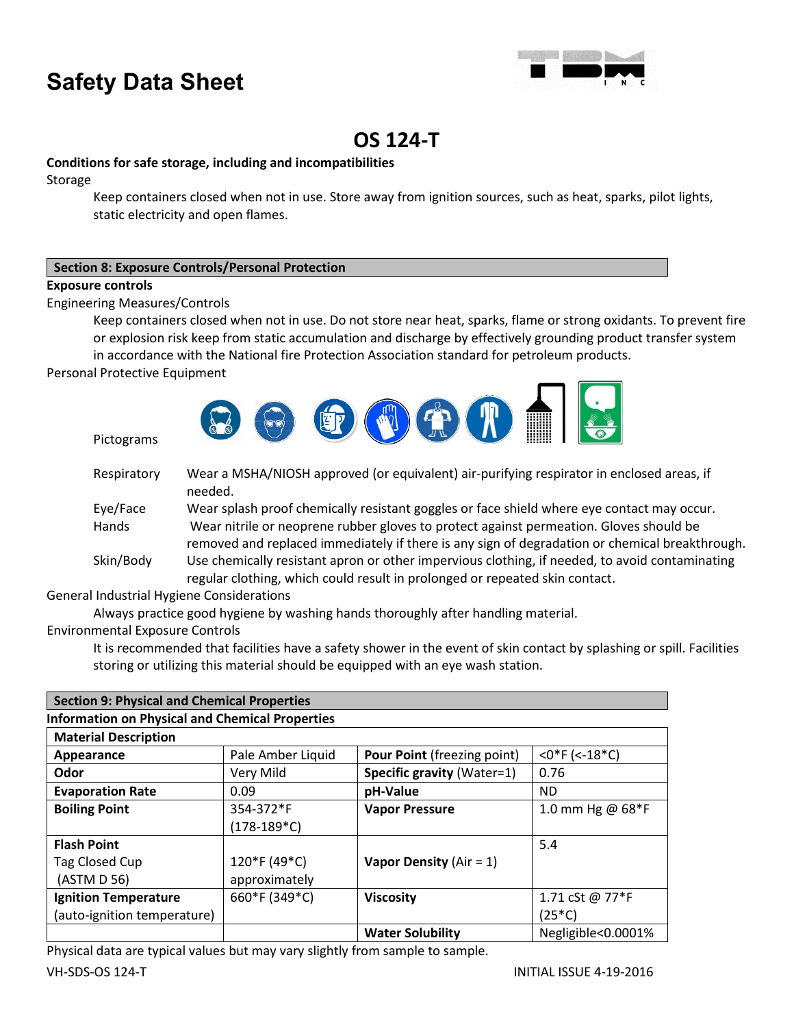

# **OS 124-T**

# **Conditions for safe storage, including and incompatibilities**

Storage

Keep containers closed when not in use. Store away from ignition sources, such as heat, sparks, pilot lights, static electricity and open flames.

# **Section 8: Exposure Controls/Personal Protection**

# **Exposure controls**

Engineering Measures/Controls

Keep containers closed when not in use. Do not store near heat, sparks, flame or strong oxidants. To prevent fire or explosion risk keep from static accumulation and discharge by effectively grounding product transfer system

in accordance with the National fire Protection Association standard for petroleum products.

Personal Protective Equipment

Pictograms



| Respiratory | Wear a MSHA/NIOSH approved (or equivalent) air-purifying respirator in enclosed areas, if<br>needed. |
|-------------|------------------------------------------------------------------------------------------------------|
| Eye/Face    | Wear splash proof chemically resistant goggles or face shield where eye contact may occur.           |
| Hands       | Wear nitrile or neoprene rubber gloves to protect against permeation. Gloves should be               |
|             | removed and replaced immediately if there is any sign of degradation or chemical breakthrough.       |
| Skin/Body   | Use chemically resistant apron or other impervious clothing, if needed, to avoid contaminating       |
|             | regular clothing, which could result in prolonged or repeated skin contact.                          |

General Industrial Hygiene Considerations

Always practice good hygiene by washing hands thoroughly after handling material.

Environmental Exposure Controls

It is recommended that facilities have a safety shower in the event of skin contact by splashing or spill. Facilities storing or utilizing this material should be equipped with an eye wash station.

| <b>Section 9: Physical and Chemical Properties</b>     |                   |                                    |                    |
|--------------------------------------------------------|-------------------|------------------------------------|--------------------|
| <b>Information on Physical and Chemical Properties</b> |                   |                                    |                    |
| <b>Material Description</b>                            |                   |                                    |                    |
| Appearance                                             | Pale Amber Liquid | <b>Pour Point (freezing point)</b> | $<$ 0*F (<-18*C)   |
| Odor                                                   | Very Mild         | <b>Specific gravity (Water=1)</b>  | 0.76               |
| <b>Evaporation Rate</b>                                | 0.09              | pH-Value                           | ND.                |
| <b>Boiling Point</b>                                   | 354-372*F         | <b>Vapor Pressure</b>              | 1.0 mm Hg @ 68*F   |
|                                                        | $(178-189*C)$     |                                    |                    |
| <b>Flash Point</b>                                     |                   |                                    | 5.4                |
| Tag Closed Cup                                         | 120*F (49*C)      | Vapor Density ( $Air = 1$ )        |                    |
| (ASTM D 56)                                            | approximately     |                                    |                    |
| <b>Ignition Temperature</b>                            | 660*F (349*C)     | <b>Viscosity</b>                   | 1.71 cSt @ 77*F    |
| (auto-ignition temperature)                            |                   |                                    | $(25*C)$           |
|                                                        |                   | <b>Water Solubility</b>            | Negligible<0.0001% |

Physical data are typical values but may vary slightly from sample to sample.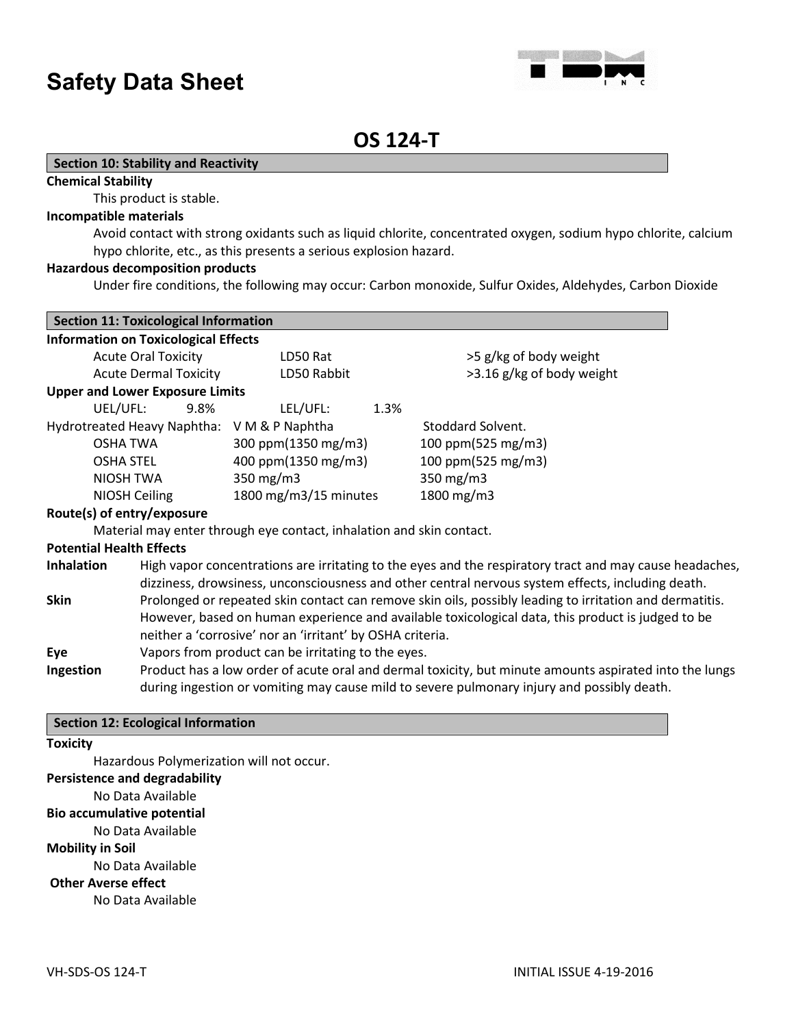

# **OS 124-T**

## **Section 10: Stability and Reactivity**

#### **Chemical Stability**

This product is stable.

#### **Incompatible materials**

Avoid contact with strong oxidants such as liquid chlorite, concentrated oxygen, sodium hypo chlorite, calcium hypo chlorite, etc., as this presents a serious explosion hazard.

## **Hazardous decomposition products**

Under fire conditions, the following may occur: Carbon monoxide, Sulfur Oxides, Aldehydes, Carbon Dioxide

| <b>Section 11: Toxicological Information</b> |                                                                                                                                                                                                      |                                                                      |      |                                                                                                                                                                                                              |
|----------------------------------------------|------------------------------------------------------------------------------------------------------------------------------------------------------------------------------------------------------|----------------------------------------------------------------------|------|--------------------------------------------------------------------------------------------------------------------------------------------------------------------------------------------------------------|
| <b>Information on Toxicological Effects</b>  |                                                                                                                                                                                                      |                                                                      |      |                                                                                                                                                                                                              |
| <b>Acute Oral Toxicity</b>                   |                                                                                                                                                                                                      | LD50 Rat                                                             |      | >5 g/kg of body weight                                                                                                                                                                                       |
|                                              | <b>Acute Dermal Toxicity</b>                                                                                                                                                                         | LD50 Rabbit                                                          |      | >3.16 g/kg of body weight                                                                                                                                                                                    |
| <b>Upper and Lower Exposure Limits</b>       |                                                                                                                                                                                                      |                                                                      |      |                                                                                                                                                                                                              |
| UEL/UFL:                                     | 9.8%                                                                                                                                                                                                 | LEL/UFL:                                                             | 1.3% |                                                                                                                                                                                                              |
|                                              |                                                                                                                                                                                                      | Hydrotreated Heavy Naphtha: V M & P Naphtha                          |      | Stoddard Solvent.                                                                                                                                                                                            |
| <b>OSHA TWA</b>                              |                                                                                                                                                                                                      | 300 ppm(1350 mg/m3)                                                  |      | 100 ppm(525 mg/m3)                                                                                                                                                                                           |
| <b>OSHA STEL</b>                             |                                                                                                                                                                                                      | 400 ppm(1350 mg/m3)                                                  |      | 100 ppm(525 mg/m3)                                                                                                                                                                                           |
| NIOSH TWA                                    |                                                                                                                                                                                                      | 350 mg/m3                                                            |      | 350 mg/m3                                                                                                                                                                                                    |
| NIOSH Ceiling                                |                                                                                                                                                                                                      | 1800 mg/m3/15 minutes                                                |      | 1800 mg/m3                                                                                                                                                                                                   |
| Route(s) of entry/exposure                   |                                                                                                                                                                                                      |                                                                      |      |                                                                                                                                                                                                              |
|                                              |                                                                                                                                                                                                      | Material may enter through eye contact, inhalation and skin contact. |      |                                                                                                                                                                                                              |
| <b>Potential Health Effects</b>              |                                                                                                                                                                                                      |                                                                      |      |                                                                                                                                                                                                              |
| <b>Inhalation</b>                            |                                                                                                                                                                                                      |                                                                      |      | High vapor concentrations are irritating to the eyes and the respiratory tract and may cause headaches,<br>dizziness, drowsiness, unconsciousness and other central nervous system effects, including death. |
| <b>Skin</b>                                  |                                                                                                                                                                                                      | neither a 'corrosive' nor an 'irritant' by OSHA criteria.            |      | Prolonged or repeated skin contact can remove skin oils, possibly leading to irritation and dermatitis.<br>However, based on human experience and available toxicological data, this product is judged to be |
| Eye                                          |                                                                                                                                                                                                      | Vapors from product can be irritating to the eyes.                   |      |                                                                                                                                                                                                              |
| Ingestion                                    | Product has a low order of acute oral and dermal toxicity, but minute amounts aspirated into the lungs<br>during ingestion or vomiting may cause mild to severe pulmonary injury and possibly death. |                                                                      |      |                                                                                                                                                                                                              |

## **Section 12: Ecological Information**

# **Toxicity**

Hazardous Polymerization will not occur.

# **Persistence and degradability**

No Data Available

# **Bio accumulative potential**

No Data Available

# **Mobility in Soil**

No Data Available

**Other Averse effect**

No Data Available